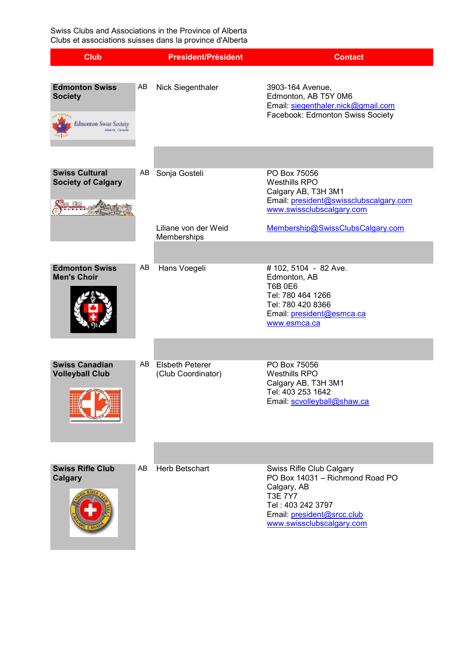Swiss Clubs and Associations in the Province of Alberta Clubs et associations suisses dans la province d'Alberta

| <b>Club</b>                                                                                 |    | <b>President/Président</b>               | <b>Contact</b>                                                                                                                                                                      |
|---------------------------------------------------------------------------------------------|----|------------------------------------------|-------------------------------------------------------------------------------------------------------------------------------------------------------------------------------------|
| <b>Edmonton Swiss</b><br><b>Society</b><br><b>Edmonton Swiss Society</b><br>Alberta, Canada | AB | Nick Siegenthaler                        | 3903-164 Avenue,<br>Edmonton, AB T5Y 0M6<br>Email: siegenthaler.nick@gmail.com<br>Facebook: Edmonton Swiss Society                                                                  |
| <b>Swiss Cultural</b><br><b>Society of Calgary</b><br>se Club                               |    | AB Sonja Gosteli                         | PO Box 75056<br><b>Westhills RPO</b><br>Calgary AB, T3H 3M1<br>Email: president@swissclubscalgary.com<br>www.swissclubscalgary.com                                                  |
|                                                                                             |    | Liliane von der Weid<br>Memberships      | Membership@SwissClubsCalgary.com                                                                                                                                                    |
| <b>Edmonton Swiss</b><br><b>Men's Choir</b>                                                 | AB | Hans Voegeli                             | #102, 5104 - 82 Ave.<br>Edmonton, AB<br><b>T6B 0E6</b><br>Tel: 780 464 1266<br>Tel: 780 420 8366<br>Email: president@esmca.ca<br>www.esmca.ca                                       |
|                                                                                             |    |                                          |                                                                                                                                                                                     |
| <b>Swiss Canadian</b><br><b>Volleyball Club</b>                                             |    | AB Elsbeth Peterer<br>(Club Coordinator) | PO Box 75056<br>Westhills RPO<br>Calgary AB, T3H 3M1<br>Tel: 403 253 1642<br>Email: scvolleyball@shaw.ca                                                                            |
|                                                                                             |    |                                          |                                                                                                                                                                                     |
| <b>Swiss Rifle Club</b><br>Calgary                                                          | AB | <b>Herb Betschart</b>                    | <b>Swiss Rifle Club Calgary</b><br>PO Box 14031 - Richmond Road PO<br>Calgary, AB<br><b>T3E 7Y7</b><br>Tel: 403 242 3797<br>Email: president@srcc.club<br>www.swissclubscalgary.com |